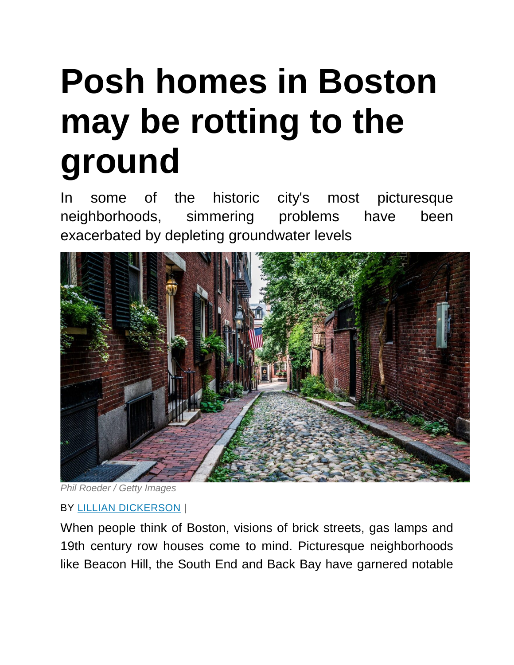## **Posh homes in Boston may be rotting to the ground**

In some of the historic city's most picturesque neighborhoods, simmering problems have been exacerbated by depleting groundwater levels



*Phil Roeder / Getty Images*

## BY LILLIAN [DICKERSON](https://www.inman.com/author/ldickerson/) |

When people think of Boston, visions of brick streets, gas lamps and 19th century row houses come to mind. Picturesque neighborhoods like Beacon Hill, the South End and Back Bay have garnered notable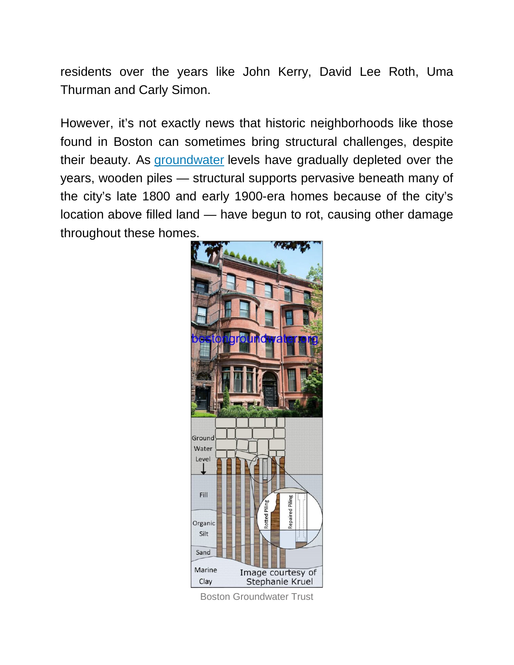residents over the years like John Kerry, David Lee Roth, Uma Thurman and Carly Simon.

However, it's not exactly news that historic neighborhoods like those found in Boston can sometimes bring structural challenges, despite their beauty. As [groundwater](https://www.inman.com/2019/04/03/miami-agents-say-theyre-not-worried-about-climate-change/) levels have gradually depleted over the years, wooden piles — structural supports pervasive beneath many of the city's late 1800 and early 1900-era homes because of the city's location above filled land — have begun to rot, causing other damage throughout these homes.



Boston Groundwater Trust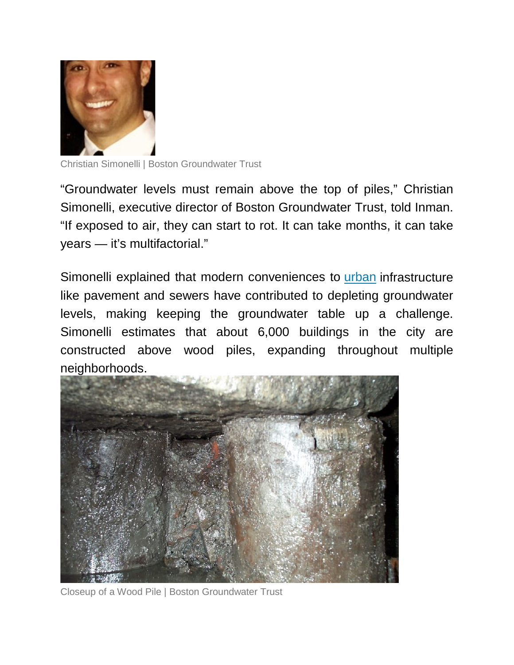

Christian Simonelli | Boston Groundwater Trust

"Groundwater levels must remain above the top of piles," Christian Simonelli, executive director of Boston Groundwater Trust, told Inman. "If exposed to air, they can start to rot. It can take months, it can take years — it's multifactorial."

Simonelli explained that modern conveniences to [urban](https://www.inman.com/2020/02/25/shrouded-in-steel-scourge-of-new-york-city-scaffolding-turns-40/) infrastructure like pavement and sewers have contributed to depleting groundwater levels, making keeping the groundwater table up a challenge. Simonelli estimates that about 6,000 buildings in the city are constructed above wood piles, expanding throughout multiple neighborhoods.



Closeup of a Wood Pile | Boston Groundwater Trust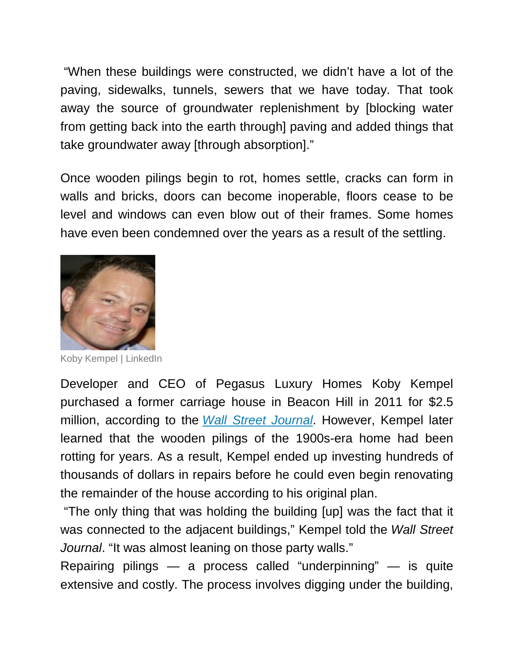"When these buildings were constructed, we didn't have a lot of the paving, sidewalks, tunnels, sewers that we have today. That took away the source of groundwater replenishment by [blocking water from getting back into the earth through] paving and added things that take groundwater away [through absorption]."

Once wooden pilings begin to rot, homes settle, cracks can form in walls and bricks, doors can become inoperable, floors cease to be level and windows can even blow out of their frames. Some homes have even been condemned over the years as a result of the settling.



Koby Kempel | LinkedIn

Developer and CEO of Pegasus Luxury Homes Koby Kempel purchased a former carriage house in Beacon Hill in 2011 for \$2.5 million, according to the *Wall Street [Journal](https://www.wsj.com/articles/bostons-priciest-real-estate-is-sinking-into-the-earth-11583416663)*. However, Kempel later learned that the wooden pilings of the 1900s-era home had been rotting for years. As a result, Kempel ended up investing hundreds of thousands of dollars in repairs before he could even begin renovating the remainder of the house according to his original plan.

"The only thing that was holding the building [up] was the fact that it was connected to the adjacent buildings," Kempel told the *Wall Street Journal*. "It was almost leaning on those party walls."

Repairing pilings — a process called "underpinning" — is quite extensive and costly. The process involves digging under the building,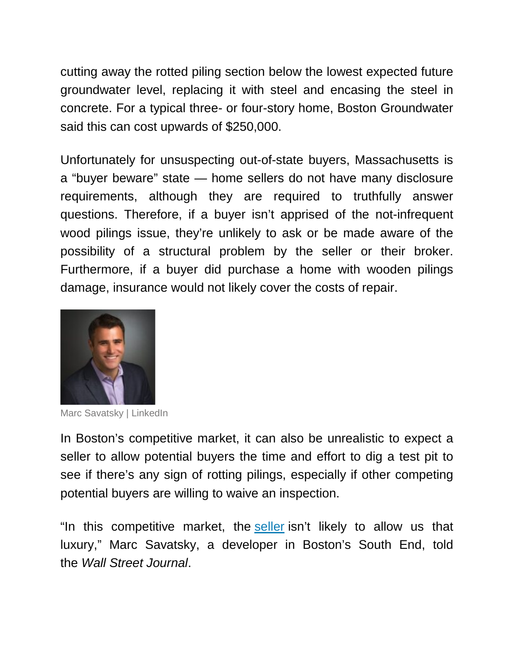cutting away the rotted piling section below the lowest expected future groundwater level, replacing it with steel and encasing the steel in concrete. For a typical three- or four-story home, Boston Groundwater said this can cost upwards of \$250,000.

Unfortunately for unsuspecting out-of-state buyers, Massachusetts is a "buyer beware" state — home sellers do not have many disclosure requirements, although they are required to truthfully answer questions. Therefore, if a buyer isn't apprised of the not-infrequent wood pilings issue, they're unlikely to ask or be made aware of the possibility of a structural problem by the seller or their broker. Furthermore, if a buyer did purchase a home with wooden pilings damage, insurance would not likely cover the costs of repair.



Marc Savatsky | LinkedIn

In Boston's competitive market, it can also be unrealistic to expect a seller to allow potential buyers the time and effort to dig a test pit to see if there's any sign of rotting pilings, especially if other competing potential buyers are willing to waive an inspection.

"In this competitive market, the [seller](https://www.inman.com/2019/12/16/the-year-of-the-homeseller/) isn't likely to allow us that luxury," Marc Savatsky, a developer in Boston's South End, told the *Wall Street Journal*.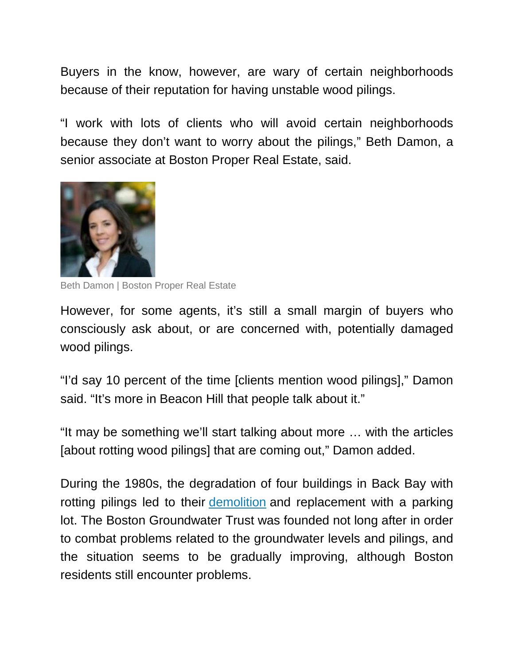Buyers in the know, however, are wary of certain neighborhoods because of their reputation for having unstable wood pilings.

"I work with lots of clients who will avoid certain neighborhoods because they don't want to worry about the pilings," Beth Damon, a senior associate at Boston Proper Real Estate, said.



Beth Damon | Boston Proper Real Estate

However, for some agents, it's still a small margin of buyers who consciously ask about, or are concerned with, potentially damaged wood pilings.

"I'd say 10 percent of the time [clients mention wood pilings]," Damon said. "It's more in Beacon Hill that people talk about it."

"It may be something we'll start talking about more … with the articles [about rotting wood pilings] that are coming out," Damon added.

During the 1980s, the degradation of four buildings in Back Bay with rotting pilings led to their [demolition](https://www.inman.com/2020/02/18/the-leaning-tower-of-dallas-is-texas-newest-temporary-landmark/) and replacement with a parking lot. The Boston Groundwater Trust was founded not long after in order to combat problems related to the groundwater levels and pilings, and the situation seems to be gradually improving, although Boston residents still encounter problems.